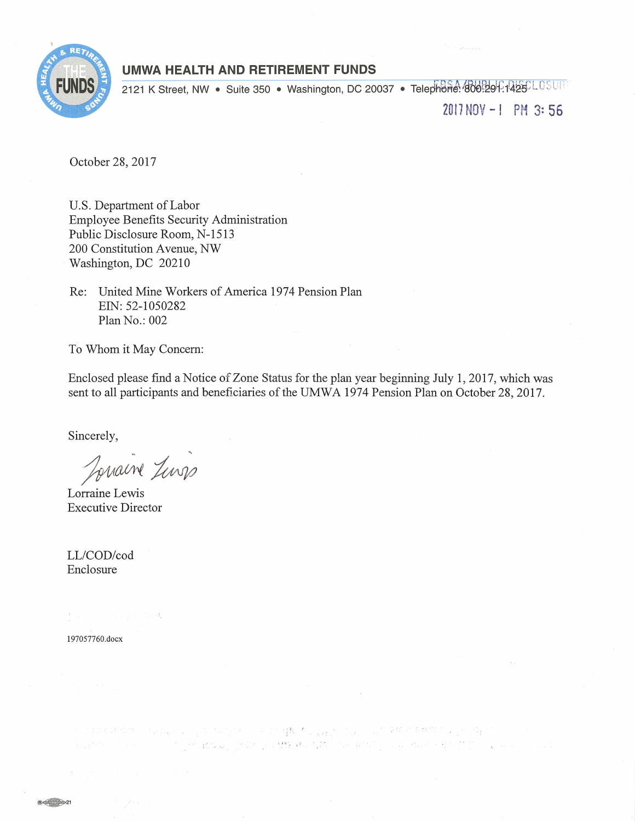

# **UMWA HEALTH AND RETIREMENT FUNDS**

2121 K Street, NW · Suite 350 · Washington, DC 20037 · Telephone 800:291.1425CLOSUR

2017 NOV - l PM 3: 56

October 28, 2017

U.S. Department of Labor Employee Benefits Security Administration Public Disclosure Room, N-1513 200 Constitution Avenue, NW Washington, DC 20210

Re: United Mine Workers of America 1974 Pension Plan EIN: 52-1050282 Plan No.: 002

To Whom it May Concern:

Enclosed please find a Notice of Zone Status for the plan year beginning July 1, 2017, which was sent to all participants and beneficiaries of the UMWA 1974 Pension Plan on October 28, 2017.

Sincerely,

Jonaine Jenss

Lorraine Executive Director

LL/COD/cod Enclosure

ta substantial 197057760.docx

 $\mathbb{P}_\omega$  is the discrete the control of the set  $\mathbb{P}_\omega$  is the set  $\mathbb{P}_\omega$  in the set  $\mathbb{P}_\omega$  is the set of  $\mathbb{P}_\omega$  in the set of  $\mathbb{P}_\omega$  is the set of  $\mathbb{P}_\omega$  is the set of  $\mathbb{P}_\omega$  is the set of  $\$ The competition post point and the windship substitute of the sole of a

R<del>own 21</del>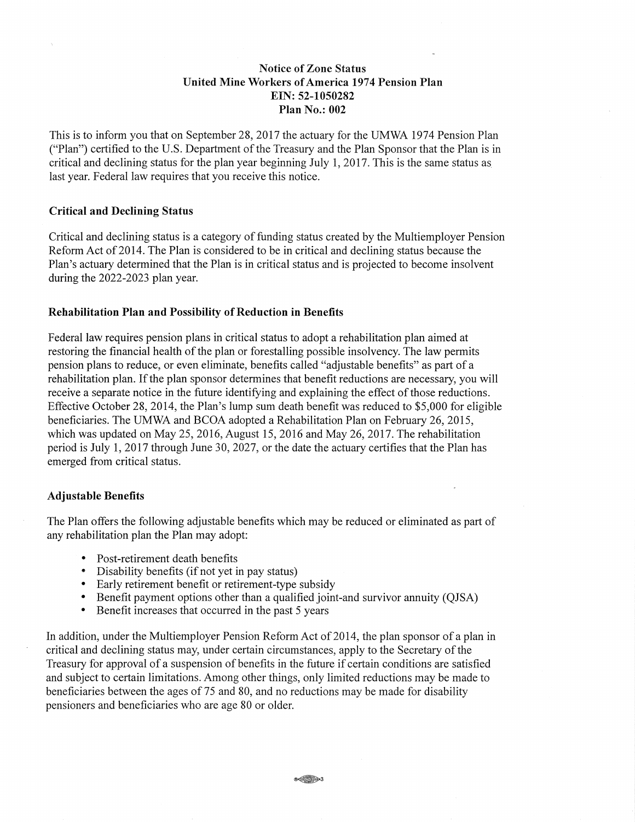## Notice of Zone Status United Mine Workers of America 1974 Pension Plan EIN: 52-1050282 Plan No.: 002

This is to inform you that on September 28, 2017 the actuary for the UMWA 1974 Pension Plan ("Plan") certified to the U.S. Department of the Treasury and the Plan Sponsor that the Plan is in critical and declining status for the plan year beginning July 1, 2017. This is the same status as last year. Federal law requires that you receive this notice.

#### Critical and Declining Status

Critical and declining status is a category of funding status created by the Multiemployer Pension Reform Act of 2014. The Plan is considered to be in critical and declining status because the Plan's actuary determined that the Plan is in critical status and is projected to become insolvent during the 2022-2023 plan year.

#### Rehabilitation Plan and Possibility of Reduction in Benefits

Federal law requires pension plans in critical status to adopt a rehabilitation plan aimed at restoring the financial health of the plan or forestalling possible insolvency. The law permits pension plans to reduce, or even eliminate, benefits called "adjustable benefits" as part of a rehabilitation plan. If the plan sponsor determines that benefit reductions are necessary, you will receive a separate notice in the future identifying and explaining the effect of those reductions. Effective October 28, 2014, the Plan's lump sum death benefit was reduced to \$5,000 for eligible beneficiaries. The UMWA and BCOA adopted a Rehabilitation Plan on February 26, 2015, which was updated on May 25, 2016, August 15, 2016 and May 26, 2017. The rehabilitation period is July 1, 2017 through June 30, 2027, or the date the actuary certifies that the Plan has emerged from critical status.

#### Adjustable Benefits

The Plan offers the following adjustable benefits which may be reduced or eliminated as part of any rehabilitation plan the Plan may adopt:

- Post-retirement death benefits
- Disability benefits (if not yet in pay status)
- Early retirement benefit or retirement-type subsidy
- Benefit payment options other than a qualified joint-and survivor annuity (QJSA)
- Benefit increases that occurred in the past 5 years

In addition, under the Multiemployer Pension Reform Act of 2014, the plan sponsor of a plan in critical and declining status may, under certain circumstances, apply to the Secretary of the Treasury for approval of a suspension of benefits in the future if certain conditions are satisfied and subject to certain limitations. Among other things, only limited reductions may be made to beneficiaries between the ages of 75 and 80, and no reductions may be made for disability pensioners and beneficiaries who are age 80 or older.